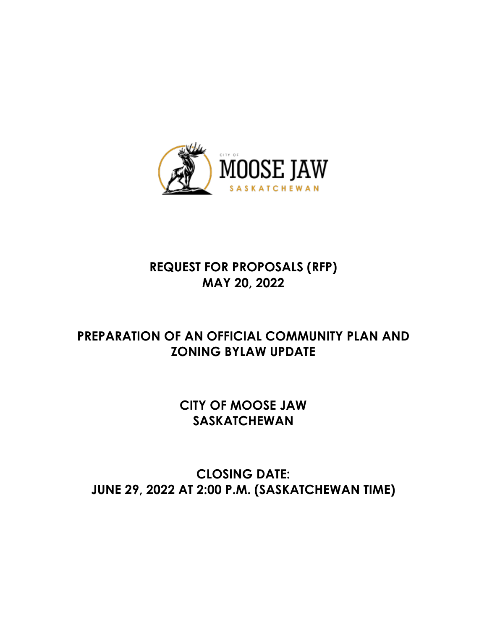

# **REQUEST FOR PROPOSALS (RFP) MAY 20, 2022**

# **PREPARATION OF AN OFFICIAL COMMUNITY PLAN AND ZONING BYLAW UPDATE**

# **CITY OF MOOSE JAW SASKATCHEWAN**

# **CLOSING DATE: JUNE 29, 2022 AT 2:00 P.M. (SASKATCHEWAN TIME)**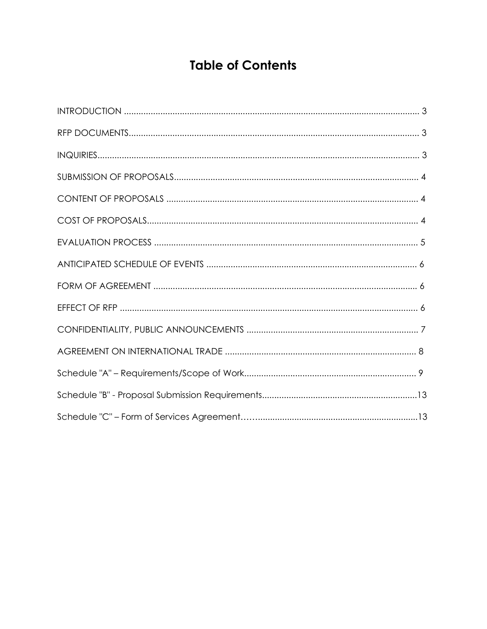# **Table of Contents**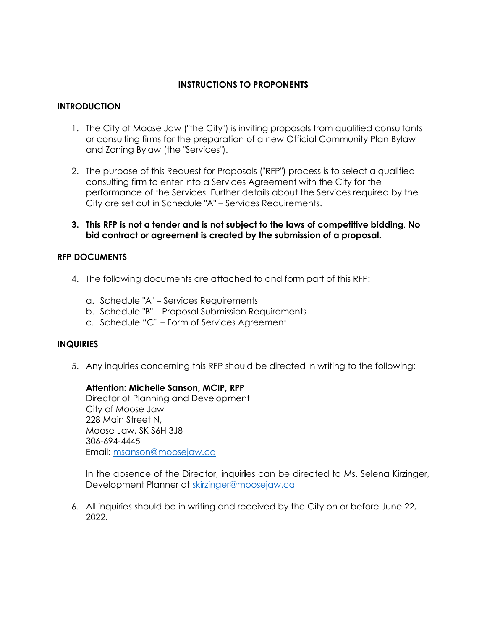# **INSTRUCTIONS TO PROPONENTS**

# **INTRODUCTION**

- 1. The City of Moose Jaw ("the City") is inviting proposals from qualified consultants or consulting firms for the preparation of a new Official Community Plan Bylaw and Zoning Bylaw (the "Services").
- 2. The purpose of this Request for Proposals ("RFP") process is to select a qualified consulting firm to enter into a Services Agreement with the City for the performance of the Services. Further details about the Services required by the City are set out in Schedule "A" – Services Requirements.
- **3. This RFP is not a tender and is not subject to the laws of competitive bidding**. **No bid contract or agreement is created by the submission of a proposal.**

### **RFP DOCUMENTS**

- 4. The following documents are attached to and form part of this RFP:
	- a. Schedule "A" Services Requirements
	- b. Schedule "B" Proposal Submission Requirements
	- c. Schedule "C" Form of Services Agreement

### **INQUIRIES**

5. Any inquiries concerning this RFP should be directed in writing to the following:

### **Attention: Michelle Sanson, MCIP, RPP**

Director of Planning and Development City of Moose Jaw 228 Main Street N, Moose Jaw, SK S6H 3J8 306-694-4445 Email: [msanson@moosejaw.ca](mailto:msanson@moosejaw.ca)

In the absence of the Director, inquir**i**es can be directed to Ms. Selena Kirzinger, Development Planner at [skirzinger@moosejaw.ca](mailto:skirzinger@moosejaw.ca)

6. All inquiries should be in writing and received by the City on or before June 22, 2022.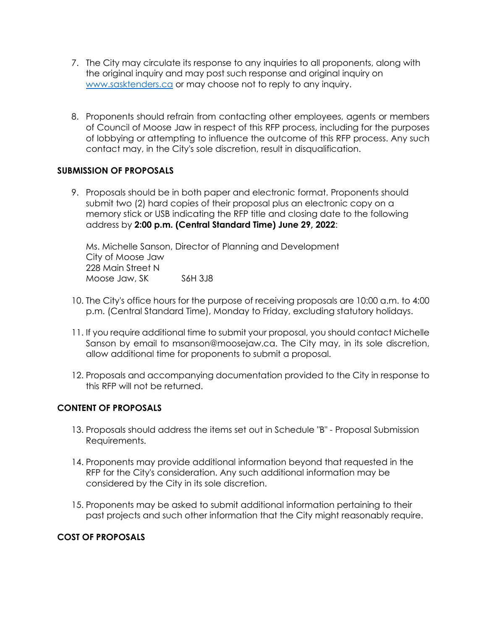- 7. The City may circulate its response to any inquiries to all proponents, along with the original inquiry and may post such response and original inquiry on [www.sasktenders.ca](http://www.sasktenders.ca/) or may choose not to reply to any inquiry.
- 8. Proponents should refrain from contacting other employees, agents or members of Council of Moose Jaw in respect of this RFP process, including for the purposes of lobbying or attempting to influence the outcome of this RFP process. Any such contact may, in the City's sole discretion, result in disqualification.

## **SUBMISSION OF PROPOSALS**

9. Proposals should be in both paper and electronic format. Proponents should submit two (2) hard copies of their proposal plus an electronic copy on a memory stick or USB indicating the RFP title and closing date to the following address by **2:00 p.m. (Central Standard Time) June 29, 2022**:

Ms. Michelle Sanson, Director of Planning and Development City of Moose Jaw 228 Main Street N Moose Jaw, SK S6H 3J8

- 10. The City's office hours for the purpose of receiving proposals are 10:00 a.m. to 4:00 p.m. (Central Standard Time), Monday to Friday, excluding statutory holidays.
- 11. If you require additional time to submit your proposal, you should contact Michelle Sanson by email to msanson@moosejaw.ca. The City may, in its sole discretion, allow additional time for proponents to submit a proposal.
- 12. Proposals and accompanying documentation provided to the City in response to this RFP will not be returned.

# **CONTENT OF PROPOSALS**

- 13. Proposals should address the items set out in Schedule "B" Proposal Submission Requirements.
- 14. Proponents may provide additional information beyond that requested in the RFP for the City's consideration. Any such additional information may be considered by the City in its sole discretion.
- 15. Proponents may be asked to submit additional information pertaining to their past projects and such other information that the City might reasonably require.

# **COST OF PROPOSALS**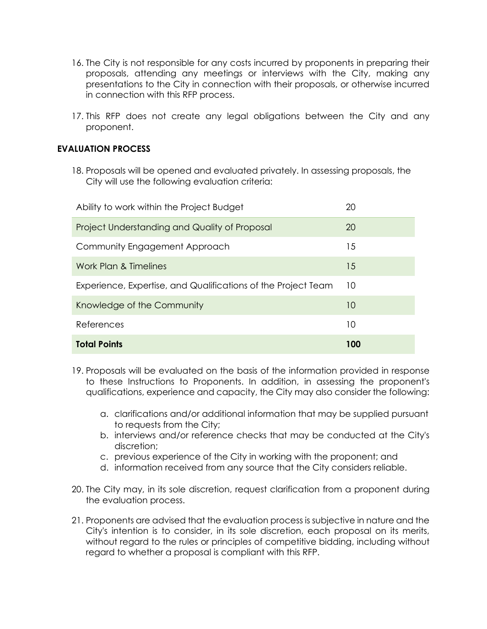- 16. The City is not responsible for any costs incurred by proponents in preparing their proposals, attending any meetings or interviews with the City, making any presentations to the City in connection with their proposals, or otherwise incurred in connection with this RFP process.
- 17. This RFP does not create any legal obligations between the City and any proponent.

# **EVALUATION PROCESS**

18. Proposals will be opened and evaluated privately. In assessing proposals, the City will use the following evaluation criteria:

| Ability to work within the Project Budget                     | 20  |
|---------------------------------------------------------------|-----|
| Project Understanding and Quality of Proposal                 | 20  |
| Community Engagement Approach                                 | 15  |
| Work Plan & Timelines                                         | 15  |
| Experience, Expertise, and Qualifications of the Project Team | 10  |
| Knowledge of the Community                                    | 10  |
| References                                                    | 10  |
| <b>Total Points</b>                                           | 100 |

- 19. Proposals will be evaluated on the basis of the information provided in response to these Instructions to Proponents. In addition, in assessing the proponent's qualifications, experience and capacity, the City may also consider the following:
	- a. clarifications and/or additional information that may be supplied pursuant to requests from the City;
	- b. interviews and/or reference checks that may be conducted at the City's discretion;
	- c. previous experience of the City in working with the proponent; and
	- d. information received from any source that the City considers reliable.
- 20. The City may, in its sole discretion, request clarification from a proponent during the evaluation process.
- 21. Proponents are advised that the evaluation process is subjective in nature and the City's intention is to consider, in its sole discretion, each proposal on its merits, without regard to the rules or principles of competitive bidding, including without regard to whether a proposal is compliant with this RFP.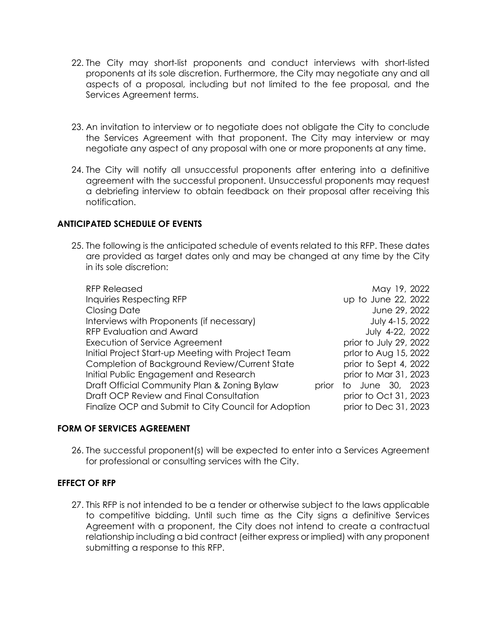- 22. The City may short-list proponents and conduct interviews with short-listed proponents at its sole discretion. Furthermore, the City may negotiate any and all aspects of a proposal, including but not limited to the fee proposal, and the Services Agreement terms.
- 23. An invitation to interview or to negotiate does not obligate the City to conclude the Services Agreement with that proponent. The City may interview or may negotiate any aspect of any proposal with one or more proponents at any time.
- 24. The City will notify all unsuccessful proponents after entering into a definitive agreement with the successful proponent. Unsuccessful proponents may request a debriefing interview to obtain feedback on their proposal after receiving this notification.

### **ANTICIPATED SCHEDULE OF EVENTS**

25. The following is the anticipated schedule of events related to this RFP. These dates are provided as target dates only and may be changed at any time by the City in its sole discretion:

| <b>RFP Released</b>                                  |       | May 19, 2022           |
|------------------------------------------------------|-------|------------------------|
| <b>Inquiries Respecting RFP</b>                      |       | up to June 22, 2022    |
| <b>Closing Date</b>                                  |       | June 29, 2022          |
| Interviews with Proponents (if necessary)            |       | July 4-15, 2022        |
| <b>RFP Evaluation and Award</b>                      |       | July 4-22, 2022        |
| Execution of Service Agreement                       |       | prior to July 29, 2022 |
| Initial Project Start-up Meeting with Project Team   |       | prlor to Aug 15, 2022  |
| Completion of Background Review/Current State        |       | prior to Sept 4, 2022  |
| Initial Public Engagement and Research               |       | prior to Mar 31, 2023  |
| Draft Official Community Plan & Zoning Bylaw         | prior | to June 30, 2023       |
| Draft OCP Review and Final Consultation              |       | prior to Oct 31, 2023  |
| Finalize OCP and Submit to City Council for Adoption |       | prior to Dec 31, 2023  |

# **FORM OF SERVICES AGREEMENT**

26. The successful proponent(s) will be expected to enter into a Services Agreement for professional or consulting services with the City.

### **EFFECT OF RFP**

27. This RFP is not intended to be a tender or otherwise subject to the laws applicable to competitive bidding. Until such time as the City signs a definitive Services Agreement with a proponent, the City does not intend to create a contractual relationship including a bid contract (either express or implied) with any proponent submitting a response to this RFP.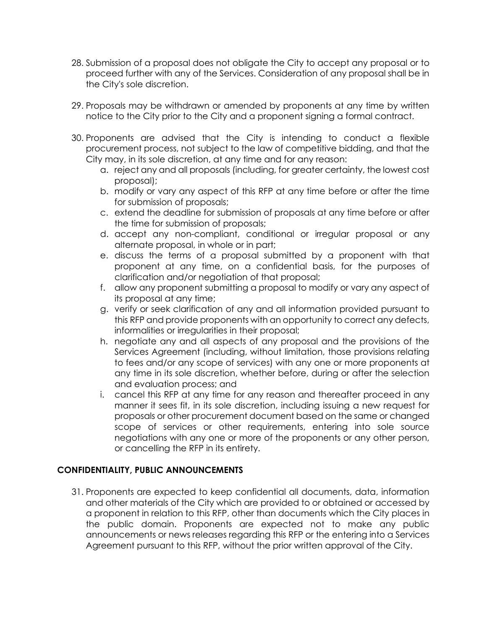- 28. Submission of a proposal does not obligate the City to accept any proposal or to proceed further with any of the Services. Consideration of any proposal shall be in the City's sole discretion.
- 29. Proposals may be withdrawn or amended by proponents at any time by written notice to the City prior to the City and a proponent signing a formal contract.
- 30. Proponents are advised that the City is intending to conduct a flexible procurement process, not subject to the law of competitive bidding, and that the City may, in its sole discretion, at any time and for any reason:
	- a. reject any and all proposals (including, for greater certainty, the lowest cost proposal);
	- b. modify or vary any aspect of this RFP at any time before or after the time for submission of proposals;
	- c. extend the deadline for submission of proposals at any time before or after the time for submission of proposals;
	- d. accept any non-compliant, conditional or irregular proposal or any alternate proposal, in whole or in part;
	- e. discuss the terms of a proposal submitted by a proponent with that proponent at any time, on a confidential basis, for the purposes of clarification and/or negotiation of that proposal;
	- f. allow any proponent submitting a proposal to modify or vary any aspect of its proposal at any time;
	- g. verify or seek clarification of any and all information provided pursuant to this RFP and provide proponents with an opportunity to correct any defects, informalities or irregularities in their proposal;
	- h. negotiate any and all aspects of any proposal and the provisions of the Services Agreement (including, without limitation, those provisions relating to fees and/or any scope of services) with any one or more proponents at any time in its sole discretion, whether before, during or after the selection and evaluation process; and
	- i. cancel this RFP at any time for any reason and thereafter proceed in any manner it sees fit, in its sole discretion, including issuing a new request for proposals or other procurement document based on the same or changed scope of services or other requirements, entering into sole source negotiations with any one or more of the proponents or any other person, or cancelling the RFP in its entirety.

# **CONFIDENTIALITY, PUBLIC ANNOUNCEMENTS**

31. Proponents are expected to keep confidential all documents, data, information and other materials of the City which are provided to or obtained or accessed by a proponent in relation to this RFP, other than documents which the City places in the public domain. Proponents are expected not to make any public announcements or news releases regarding this RFP or the entering into a Services Agreement pursuant to this RFP, without the prior written approval of the City.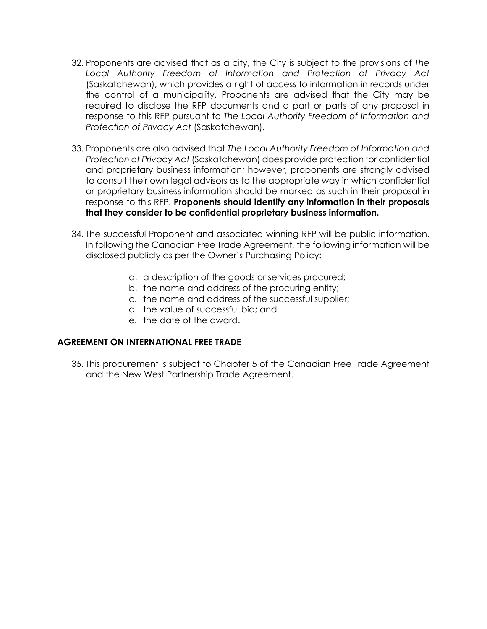- 32. Proponents are advised that as a city, the City is subject to the provisions of *The Local Authority Freedom of Information and Protection of Privacy Act* (Saskatchewan), which provides a right of access to information in records under the control of a municipality. Proponents are advised that the City may be required to disclose the RFP documents and a part or parts of any proposal in response to this RFP pursuant to *The Local Authority Freedom of Information and Protection of Privacy Act* (Saskatchewan).
- 33. Proponents are also advised that *The Local Authority Freedom of Information and Protection of Privacy Act* (Saskatchewan) does provide protection for confidential and proprietary business information; however, proponents are strongly advised to consult their own legal advisors as to the appropriate way in which confidential or proprietary business information should be marked as such in their proposal in response to this RFP. **Proponents should identify any information in their proposals that they consider to be confidential proprietary business information.**
- 34. The successful Proponent and associated winning RFP will be public information. In following the Canadian Free Trade Agreement, the following information will be disclosed publicly as per the Owner's Purchasing Policy:
	- a. a description of the goods or services procured;
	- b. the name and address of the procuring entity;
	- c. the name and address of the successful supplier;
	- d. the value of successful bid; and
	- e. the date of the award.

### **AGREEMENT ON INTERNATIONAL FREE TRADE**

35. This procurement is subject to Chapter 5 of the Canadian Free Trade Agreement and the New West Partnership Trade Agreement.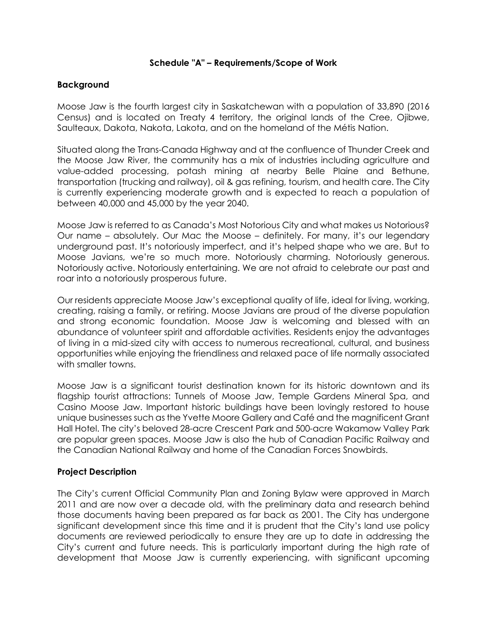### **Schedule "A" – Requirements/Scope of Work**

### **Background**

Moose Jaw is the fourth largest city in Saskatchewan with a population of 33,890 (2016 Census) and is located on Treaty 4 territory, the original lands of the Cree, Ojibwe, Saulteaux, Dakota, Nakota, Lakota, and on the homeland of the Métis Nation.

Situated along the Trans-Canada Highway and at the confluence of Thunder Creek and the Moose Jaw River, the community has a mix of industries including agriculture and value-added processing, potash mining at nearby Belle Plaine and Bethune, transportation (trucking and railway), oil & gas refining, tourism, and health care. The City is currently experiencing moderate growth and is expected to reach a population of between 40,000 and 45,000 by the year 2040.

Moose Jaw is referred to as Canada's Most Notorious City and what makes us Notorious? Our name – absolutely. Our Mac the Moose – definitely. For many, it's our legendary underground past. It's notoriously imperfect, and it's helped shape who we are. But to Moose Javians, we're so much more. Notoriously charming. Notoriously generous. Notoriously active. Notoriously entertaining. We are not afraid to celebrate our past and roar into a notoriously prosperous future.

Our residents appreciate Moose Jaw's exceptional quality of life, ideal for living, working, creating, raising a family, or retiring. Moose Javians are proud of the diverse population and strong economic foundation. Moose Jaw is welcoming and blessed with an abundance of volunteer spirit and affordable activities. Residents enjoy the advantages of living in a mid-sized city with access to numerous recreational, cultural, and business opportunities while enjoying the friendliness and relaxed pace of life normally associated with smaller towns.

Moose Jaw is a significant tourist destination known for its historic downtown and its flagship tourist attractions: Tunnels of Moose Jaw, Temple Gardens Mineral Spa, and Casino Moose Jaw. Important historic buildings have been lovingly restored to house unique businesses such as the Yvette Moore Gallery and Café and the magnificent Grant Hall Hotel. The city's beloved 28-acre Crescent Park and 500-acre Wakamow Valley Park are popular green spaces. Moose Jaw is also the hub of Canadian Pacific Railway and the Canadian National Railway and home of the Canadian Forces Snowbirds.

### **Project Description**

The City's current Official Community Plan and Zoning Bylaw were approved in March 2011 and are now over a decade old, with the preliminary data and research behind those documents having been prepared as far back as 2001. The City has undergone significant development since this time and it is prudent that the City's land use policy documents are reviewed periodically to ensure they are up to date in addressing the City's current and future needs. This is particularly important during the high rate of development that Moose Jaw is currently experiencing, with significant upcoming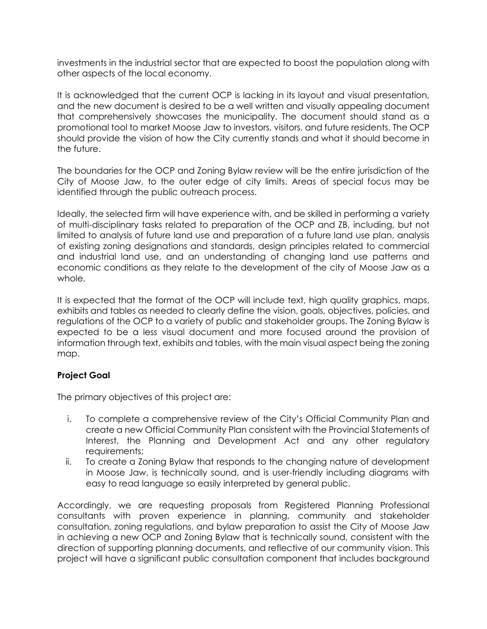investments in the industrial sector that are expected to boost the population along with other aspects of the local economy.

It is acknowledged that the current OCP is lacking in its layout and visual presentation, and the new document is desired to be a well written and visually appealing document that comprehensively showcases the municipality. The document should stand as a promotional tool to market Moose Jaw to investors, visitors, and future residents. The OCP should provide the vision of how the City currently stands and what it should become in the future.

The boundaries for the OCP and Zoning Bylaw review will be the entire jurisdiction of the City of Moose Jaw, to the outer edge of city limits. Areas of special focus may be identified through the public outreach process.

Ideally, the selected firm will have experience with, and be skilled in performing a variety of multi-disciplinary tasks related to preparation of the OCP and ZB, including, but not limited to analysis of future land use and preparation of a future land use plan, analysis of existing zoning designations and standards, design principles related to commercial and industrial land use, and an understanding of changing land use patterns and economic conditions as they relate to the development of the city of Moose Jaw as a whole.

It is expected that the format of the OCP will include text, high quality graphics, maps, exhibits and tables as needed to clearly define the vision, goals, objectives, policies, and regulations of the OCP to a variety of public and stakeholder groups. The Zoning Bylaw is expected to be a less visual document and more focused around the provision of information through text, exhibits and tables, with the main visual aspect being the zoning map.

# **Project Goal**

The primary objectives of this project are:

- i. To complete a comprehensive review of the City's Official Community Plan and create a new Official Community Plan consistent with the Provincial Statements of Interest, the Planning and Development Act and any other regulatory requirements;
- ii. To create a Zoning Bylaw that responds to the changing nature of development in Moose Jaw, is technically sound, and is user-friendly including diagrams with easy to read language so easily interpreted by general public.

Accordingly, we are requesting proposals from Registered Planning Professional consultants with proven experience in planning, community and stakeholder consultation, zoning regulations, and bylaw preparation to assist the City of Moose Jaw in achieving a new OCP and Zoning Bylaw that is technically sound, consistent with the direction of supporting planning documents, and reflective of our community vision. This project will have a significant public consultation component that includes background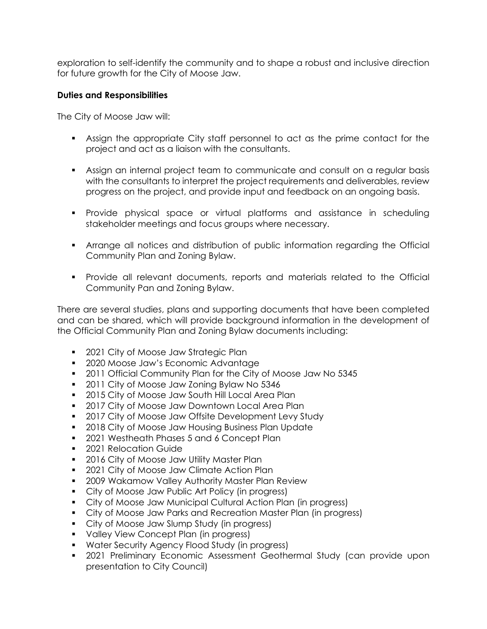exploration to self-identify the community and to shape a robust and inclusive direction for future growth for the City of Moose Jaw.

### **Duties and Responsibilities**

The City of Moose Jaw will:

- Assign the appropriate City staff personnel to act as the prime contact for the project and act as a liaison with the consultants.
- Assign an internal project team to communicate and consult on a regular basis with the consultants to interpret the project requirements and deliverables, review progress on the project, and provide input and feedback on an ongoing basis.
- Provide physical space or virtual platforms and assistance in scheduling stakeholder meetings and focus groups where necessary.
- Arrange all notices and distribution of public information regarding the Official Community Plan and Zoning Bylaw.
- Provide all relevant documents, reports and materials related to the Official Community Pan and Zoning Bylaw.

There are several studies, plans and supporting documents that have been completed and can be shared, which will provide background information in the development of the Official Community Plan and Zoning Bylaw documents including:

- **2021 City of Moose Jaw Strategic Plan**
- **2020 Moose Jaw's Economic Advantage**
- **2011 Official Community Plan for the City of Moose Jaw No 5345**
- 2011 City of Moose Jaw Zoning Bylaw No 5346
- **2015 City of Moose Jaw South Hill Local Area Plan**
- **2017 City of Moose Jaw Downtown Local Area Plan**
- **2017 City of Moose Jaw Offsite Development Levy Study**
- **2018 City of Moose Jaw Housing Business Plan Update**
- **2021 Westheath Phases 5 and 6 Concept Plan**
- **2021 Relocation Guide**
- **2016 City of Moose Jaw Utility Master Plan**
- **2021 City of Moose Jaw Climate Action Plan**
- **2009 Wakamow Valley Authority Master Plan Review**
- City of Moose Jaw Public Art Policy (in progress)
- City of Moose Jaw Municipal Cultural Action Plan (in progress)
- City of Moose Jaw Parks and Recreation Master Plan (in progress)
- City of Moose Jaw Slump Study (in progress)
- **Valley View Concept Plan (in progress)**
- Water Security Agency Flood Study (in progress)
- 2021 Preliminary Economic Assessment Geothermal Study (can provide upon presentation to City Council)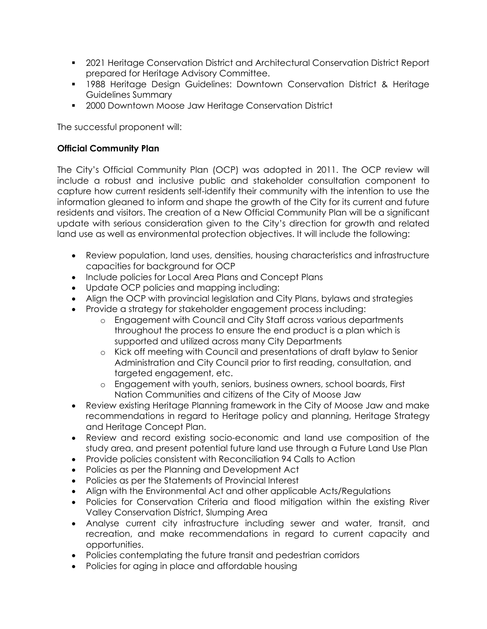- 2021 Heritage Conservation District and Architectural Conservation District Report prepared for Heritage Advisory Committee.
- **1988 Heritage Design Guidelines: Downtown Conservation District & Heritage** Guidelines Summary
- **2000 Downtown Moose Jaw Heritage Conservation District**

The successful proponent will:

# **Official Community Plan**

The City's Official Community Plan (OCP) was adopted in 2011. The OCP review will include a robust and inclusive public and stakeholder consultation component to capture how current residents self-identify their community with the intention to use the information gleaned to inform and shape the growth of the City for its current and future residents and visitors. The creation of a New Official Community Plan will be a significant update with serious consideration given to the City's direction for growth and related land use as well as environmental protection objectives. It will include the following:

- Review population, land uses, densities, housing characteristics and infrastructure capacities for background for OCP
- Include policies for Local Area Plans and Concept Plans
- Update OCP policies and mapping including:
- Align the OCP with provincial legislation and City Plans, bylaws and strategies
- Provide a strategy for stakeholder engagement process including:
	- o Engagement with Council and City Staff across various departments throughout the process to ensure the end product is a plan which is supported and utilized across many City Departments
	- o Kick off meeting with Council and presentations of draft bylaw to Senior Administration and City Council prior to first reading, consultation, and targeted engagement, etc.
	- o Engagement with youth, seniors, business owners, school boards, First Nation Communities and citizens of the City of Moose Jaw
- Review existing Heritage Planning framework in the City of Moose Jaw and make recommendations in regard to Heritage policy and planning, Heritage Strategy and Heritage Concept Plan.
- Review and record existing socio-economic and land use composition of the study area, and present potential future land use through a Future Land Use Plan
- Provide policies consistent with Reconciliation 94 Calls to Action
- Policies as per the Planning and Development Act
- Policies as per the Statements of Provincial Interest
- Align with the Environmental Act and other applicable Acts/Regulations
- Policies for Conservation Criteria and flood mitigation within the existing River Valley Conservation District, Slumping Area
- Analyse current city infrastructure including sewer and water, transit, and recreation, and make recommendations in regard to current capacity and opportunities.
- Policies contemplating the future transit and pedestrian corridors
- Policies for aging in place and affordable housing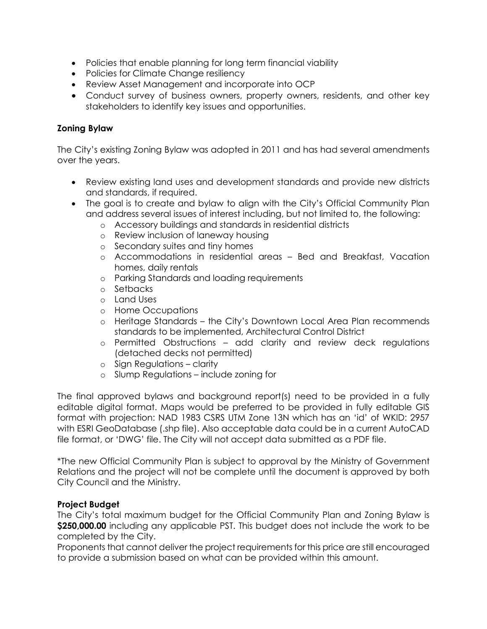- Policies that enable planning for long term financial viability
- Policies for Climate Change resiliency
- Review Asset Management and incorporate into OCP
- Conduct survey of business owners, property owners, residents, and other key stakeholders to identify key issues and opportunities.

# **Zoning Bylaw**

The City's existing Zoning Bylaw was adopted in 2011 and has had several amendments over the years.

- Review existing land uses and development standards and provide new districts and standards, if required.
- The goal is to create and bylaw to align with the City's Official Community Plan and address several issues of interest including, but not limited to, the following:
	- o Accessory buildings and standards in residential districts
	- o Review inclusion of laneway housing
	- o Secondary suites and tiny homes
	- o Accommodations in residential areas Bed and Breakfast, Vacation homes, daily rentals
	- o Parking Standards and loading requirements
	- o Setbacks
	- o Land Uses
	- o Home Occupations
	- o Heritage Standards the City's Downtown Local Area Plan recommends standards to be implemented, Architectural Control District
	- o Permitted Obstructions add clarity and review deck regulations (detached decks not permitted)
	- o Sign Regulations clarity
	- o Slump Regulations include zoning for

The final approved bylaws and background report(s) need to be provided in a fully editable digital format. Maps would be preferred to be provided in fully editable GIS format with projection: NAD 1983 CSRS UTM Zone 13N which has an 'id' of WKID: 2957 with ESRI GeoDatabase (.shp file). Also acceptable data could be in a current AutoCAD file format, or 'DWG' file. The City will not accept data submitted as a PDF file.

\*The new Official Community Plan is subject to approval by the Ministry of Government Relations and the project will not be complete until the document is approved by both City Council and the Ministry.

# **Project Budget**

The City's total maximum budget for the Official Community Plan and Zoning Bylaw is **\$250,000.00** including any applicable PST. This budget does not include the work to be completed by the City.

Proponents that cannot deliver the project requirements for this price are still encouraged to provide a submission based on what can be provided within this amount.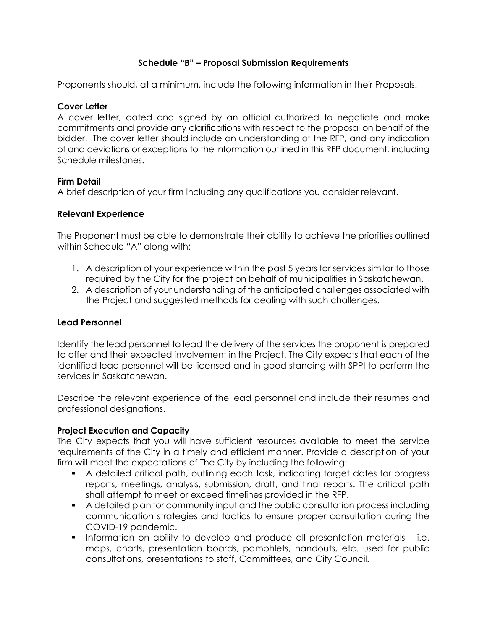# **Schedule "B" – Proposal Submission Requirements**

Proponents should, at a minimum, include the following information in their Proposals.

# **Cover Letter**

A cover letter, dated and signed by an official authorized to negotiate and make commitments and provide any clarifications with respect to the proposal on behalf of the bidder. The cover letter should include an understanding of the RFP, and any indication of and deviations or exceptions to the information outlined in this RFP document, including Schedule milestones.

## **Firm Detail**

A brief description of your firm including any qualifications you consider relevant.

## **Relevant Experience**

The Proponent must be able to demonstrate their ability to achieve the priorities outlined within Schedule "A" along with:

- 1. A description of your experience within the past 5 years for services similar to those required by the City for the project on behalf of municipalities in Saskatchewan.
- 2. A description of your understanding of the anticipated challenges associated with the Project and suggested methods for dealing with such challenges.

### **Lead Personnel**

Identify the lead personnel to lead the delivery of the services the proponent is prepared to offer and their expected involvement in the Project. The City expects that each of the identified lead personnel will be licensed and in good standing with SPPI to perform the services in Saskatchewan.

Describe the relevant experience of the lead personnel and include their resumes and professional designations.

# **Project Execution and Capacity**

The City expects that you will have sufficient resources available to meet the service requirements of the City in a timely and efficient manner. Provide a description of your firm will meet the expectations of The City by including the following:

- A detailed critical path, outlining each task, indicating target dates for progress reports, meetings, analysis, submission, draft, and final reports. The critical path shall attempt to meet or exceed timelines provided in the RFP.
- A detailed plan for community input and the public consultation process including communication strategies and tactics to ensure proper consultation during the COVID-19 pandemic.
- Information on ability to develop and produce all presentation materials i.e. maps, charts, presentation boards, pamphlets, handouts, etc. used for public consultations, presentations to staff, Committees, and City Council.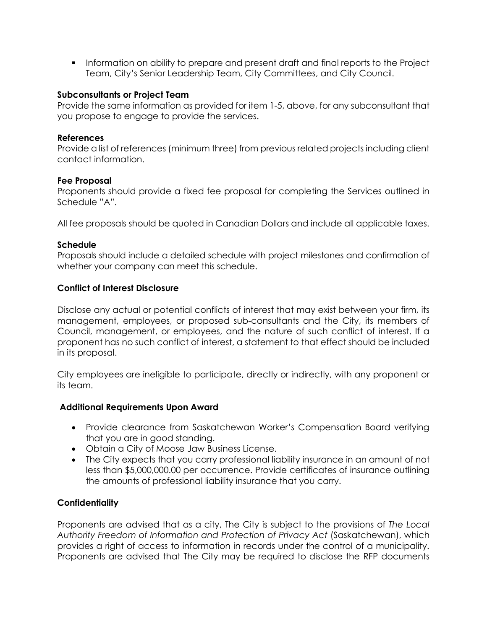Information on ability to prepare and present draft and final reports to the Project Team, City's Senior Leadership Team, City Committees, and City Council.

### **Subconsultants or Project Team**

Provide the same information as provided for item 1-5, above, for any subconsultant that you propose to engage to provide the services.

### **References**

Provide a list of references (minimum three) from previous related projects including client contact information.

### **Fee Proposal**

Proponents should provide a fixed fee proposal for completing the Services outlined in Schedule "A".

All fee proposals should be quoted in Canadian Dollars and include all applicable taxes.

### **Schedule**

Proposals should include a detailed schedule with project milestones and confirmation of whether your company can meet this schedule.

### **Conflict of Interest Disclosure**

Disclose any actual or potential conflicts of interest that may exist between your firm, its management, employees, or proposed sub-consultants and the City, its members of Council, management, or employees, and the nature of such conflict of interest. If a proponent has no such conflict of interest, a statement to that effect should be included in its proposal.

City employees are ineligible to participate, directly or indirectly, with any proponent or its team.

### **Additional Requirements Upon Award**

- Provide clearance from Saskatchewan Worker's Compensation Board verifying that you are in good standing.
- Obtain a City of Moose Jaw Business License.
- The City expects that you carry professional liability insurance in an amount of not less than \$5,000,000.00 per occurrence. Provide certificates of insurance outlining the amounts of professional liability insurance that you carry.

### **Confidentiality**

Proponents are advised that as a city, The City is subject to the provisions of *The Local Authority Freedom of Information and Protection of Privacy Act* (Saskatchewan), which provides a right of access to information in records under the control of a municipality. Proponents are advised that The City may be required to disclose the RFP documents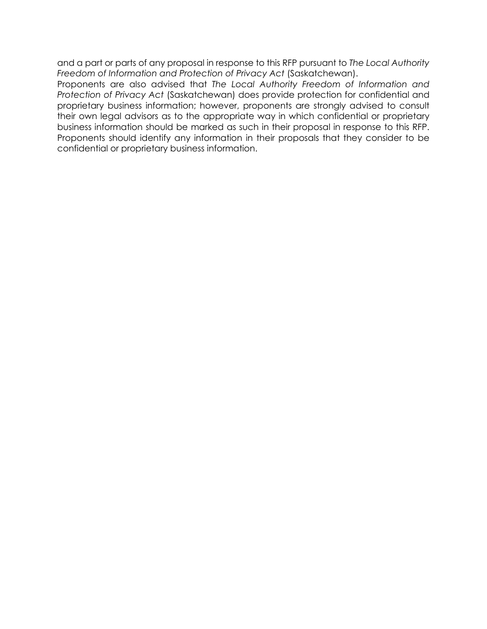and a part or parts of any proposal in response to this RFP pursuant to *The Local Authority Freedom of Information and Protection of Privacy Act* (Saskatchewan).

Proponents are also advised that *The Local Authority Freedom of Information and Protection of Privacy Act* (Saskatchewan) does provide protection for confidential and proprietary business information; however, proponents are strongly advised to consult their own legal advisors as to the appropriate way in which confidential or proprietary business information should be marked as such in their proposal in response to this RFP. Proponents should identify any information in their proposals that they consider to be confidential or proprietary business information.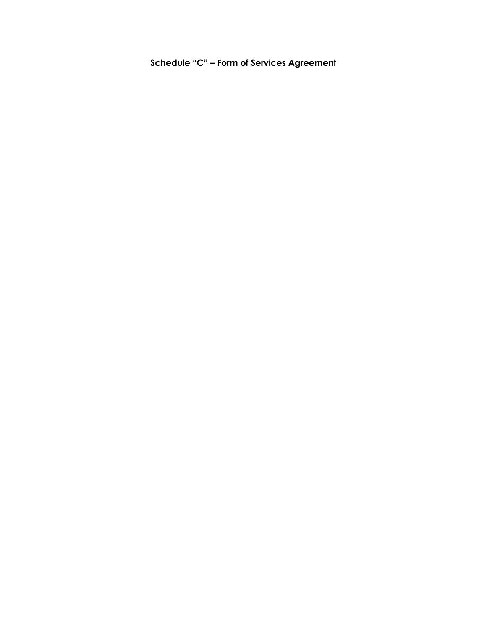**Schedule "C" – Form of Services Agreement**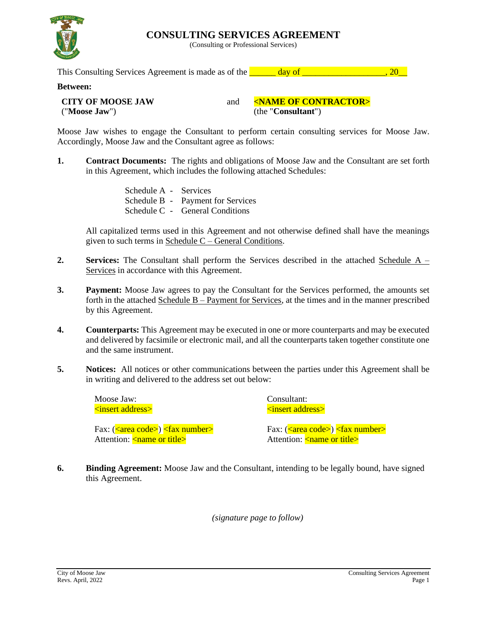**CONSULTING SERVICES AGREEMENT**

(Consulting or Professional Services)



This Consulting Services Agreement is made as of the  $\frac{1}{20}$  day of  $\frac{1}{20}$ , 20

### **Between:**

**CITY OF MOOSE JAW** ("**Moose Jaw**")

and **<NAME OF CONTRACTOR>** (the "**Consultant**")

Moose Jaw wishes to engage the Consultant to perform certain consulting services for Moose Jaw. Accordingly, Moose Jaw and the Consultant agree as follows:

**1. Contract Documents:** The rights and obligations of Moose Jaw and the Consultant are set forth in this Agreement, which includes the following attached Schedules:

> Schedule A - Services Schedule B - Payment for Services Schedule C - General Conditions

All capitalized terms used in this Agreement and not otherwise defined shall have the meanings given to such terms in Schedule C – General Conditions.

- **2. Services:** The Consultant shall perform the Services described in the attached Schedule A Services in accordance with this Agreement.
- **3. Payment:** Moose Jaw agrees to pay the Consultant for the Services performed, the amounts set forth in the attached Schedule B – Payment for Services, at the times and in the manner prescribed by this Agreement.
- **4. Counterparts:** This Agreement may be executed in one or more counterparts and may be executed and delivered by facsimile or electronic mail, and all the counterparts taken together constitute one and the same instrument.
- **5. Notices:** All notices or other communications between the parties under this Agreement shall be in writing and delivered to the address set out below:

Moose Jaw: <insert address>

Fax: (<area code>) <fax number> Attention: <<u>name or title</u>>

Consultant: <insert address>

Fax: (<area code>) <fax number> Attention:  $\langle$  name or title $\rangle$ 

**6. Binding Agreement:** Moose Jaw and the Consultant, intending to be legally bound, have signed this Agreement.

*(signature page to follow)*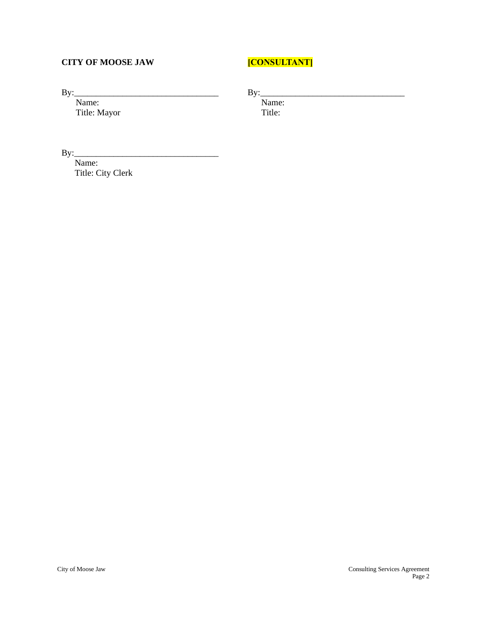## **CITY OF MOOSE JAW**

# **[CONSULTANT]**

By:\_\_\_\_\_\_\_\_\_\_\_\_\_\_\_\_\_\_\_\_\_\_\_\_\_\_\_\_\_\_\_\_\_

Name: Title: Mayor  $By:$ 

Name: Title:

By:\_\_\_\_\_\_\_\_\_\_\_\_\_\_\_\_\_\_\_\_\_\_\_\_\_\_\_\_\_\_\_\_\_

Name: Title: City Clerk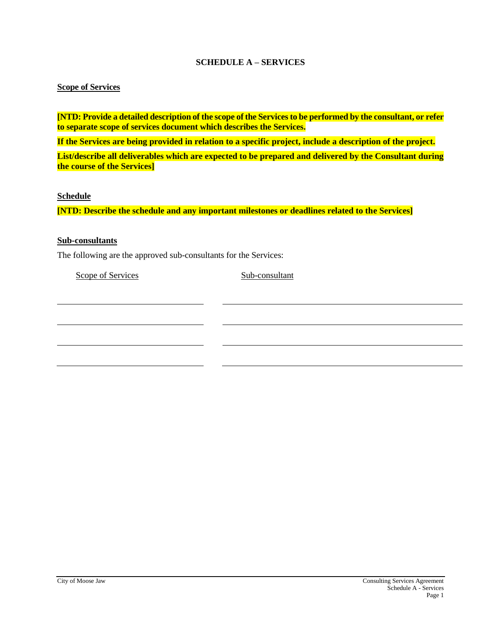### **SCHEDULE A – SERVICES**

### **Scope of Services**

**[NTD: Provide a detailed description of the scope of the Servicesto be performed by the consultant, or refer to separate scope of services document which describes the Services.**

**If the Services are being provided in relation to a specific project, include a description of the project.**

**List/describe all deliverables which are expected to be prepared and delivered by the Consultant during the course of the Services]**

### **Schedule**

**[NTD: Describe the schedule and any important milestones or deadlines related to the Services]**

### **Sub-consultants**

The following are the approved sub-consultants for the Services:

Scope of Services Sub-consultant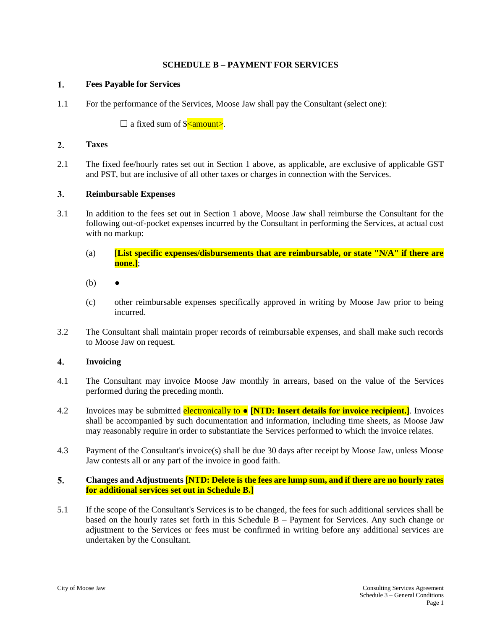### **SCHEDULE B – PAYMENT FOR SERVICES**

#### $1.$ **Fees Payable for Services**

1.1 For the performance of the Services, Moose Jaw shall pay the Consultant (select one):

 $\Box$  a fixed sum of  $\Diamond$  amount>.

#### $2.$ **Taxes**

2.1 The fixed fee/hourly rates set out in Section 1 above, as applicable, are exclusive of applicable GST and PST, but are inclusive of all other taxes or charges in connection with the Services.

#### $3<sub>1</sub>$ **Reimbursable Expenses**

- 3.1 In addition to the fees set out in Section 1 above, Moose Jaw shall reimburse the Consultant for the following out-of-pocket expenses incurred by the Consultant in performing the Services, at actual cost with no markup:
	- (a) **[List specific expenses/disbursements that are reimbursable, or state "N/A" if there are none.]**;
	- $(b)$
	- (c) other reimbursable expenses specifically approved in writing by Moose Jaw prior to being incurred.
- 3.2 The Consultant shall maintain proper records of reimbursable expenses, and shall make such records to Moose Jaw on request.

#### $\overline{4}$ . **Invoicing**

- 4.1 The Consultant may invoice Moose Jaw monthly in arrears, based on the value of the Services performed during the preceding month.
- 4.2 Invoices may be submitted electronically to **[NTD: Insert details for invoice recipient.]**. Invoices shall be accompanied by such documentation and information, including time sheets, as Moose Jaw may reasonably require in order to substantiate the Services performed to which the invoice relates.
- 4.3 Payment of the Consultant's invoice(s) shall be due 30 days after receipt by Moose Jaw, unless Moose Jaw contests all or any part of the invoice in good faith.

### $5.$ **Changes and Adjustments [NTD: Delete is the fees are lump sum, and if there are no hourly rates for additional services set out in Schedule B.]**

5.1 If the scope of the Consultant's Services is to be changed, the fees for such additional services shall be based on the hourly rates set forth in this Schedule  $B -$  Payment for Services. Any such change or adjustment to the Services or fees must be confirmed in writing before any additional services are undertaken by the Consultant.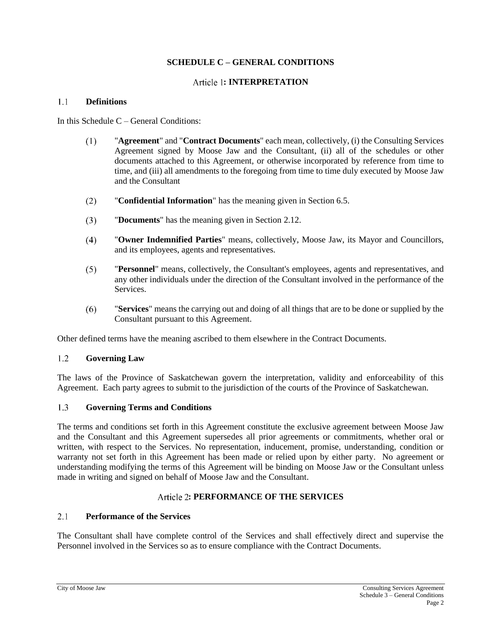### **SCHEDULE C – GENERAL CONDITIONS**

### **: INTERPRETATION**

#### $1.1$ **Definitions**

In this Schedule C – General Conditions:

- $(1)$ "**Agreement**" and "**Contract Documents**" each mean, collectively, (i) the Consulting Services Agreement signed by Moose Jaw and the Consultant, (ii) all of the schedules or other documents attached to this Agreement, or otherwise incorporated by reference from time to time, and (iii) all amendments to the foregoing from time to time duly executed by Moose Jaw and the Consultant
- $(2)$ "**Confidential Information**" has the meaning given in Section [6.5.](#page-26-0)
- $(3)$ "**Documents**" has the meaning given in Sectio[n 2.12.](#page-23-0)
- $(4)$ "**Owner Indemnified Parties**" means, collectively, Moose Jaw, its Mayor and Councillors, and its employees, agents and representatives.
- $(5)$ "**Personnel**" means, collectively, the Consultant's employees, agents and representatives, and any other individuals under the direction of the Consultant involved in the performance of the Services.
- $(6)$ "**Services**" means the carrying out and doing of all things that are to be done or supplied by the Consultant pursuant to this Agreement.

Other defined terms have the meaning ascribed to them elsewhere in the Contract Documents.

### $1.2$ **Governing Law**

The laws of the Province of Saskatchewan govern the interpretation, validity and enforceability of this Agreement. Each party agrees to submit to the jurisdiction of the courts of the Province of Saskatchewan.

#### $1.3$ **Governing Terms and Conditions**

The terms and conditions set forth in this Agreement constitute the exclusive agreement between Moose Jaw and the Consultant and this Agreement supersedes all prior agreements or commitments, whether oral or written, with respect to the Services. No representation, inducement, promise, understanding, condition or warranty not set forth in this Agreement has been made or relied upon by either party. No agreement or understanding modifying the terms of this Agreement will be binding on Moose Jaw or the Consultant unless made in writing and signed on behalf of Moose Jaw and the Consultant.

### **: PERFORMANCE OF THE SERVICES**

#### $2.1$ **Performance of the Services**

The Consultant shall have complete control of the Services and shall effectively direct and supervise the Personnel involved in the Services so as to ensure compliance with the Contract Documents.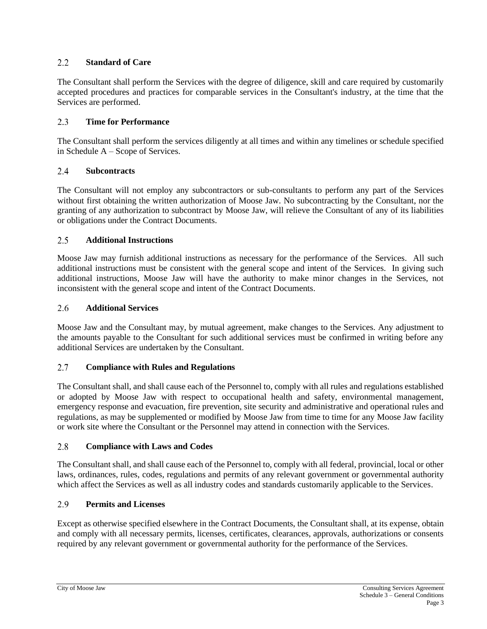### $2.2^{\circ}$ **Standard of Care**

The Consultant shall perform the Services with the degree of diligence, skill and care required by customarily accepted procedures and practices for comparable services in the Consultant's industry, at the time that the Services are performed.

### $2.3$ **Time for Performance**

The Consultant shall perform the services diligently at all times and within any timelines or schedule specified in Schedule A – Scope of Services.

#### 2.4 **Subcontracts**

The Consultant will not employ any subcontractors or sub-consultants to perform any part of the Services without first obtaining the written authorization of Moose Jaw. No subcontracting by the Consultant, nor the granting of any authorization to subcontract by Moose Jaw, will relieve the Consultant of any of its liabilities or obligations under the Contract Documents.

#### $2.5$ **Additional Instructions**

Moose Jaw may furnish additional instructions as necessary for the performance of the Services. All such additional instructions must be consistent with the general scope and intent of the Services. In giving such additional instructions, Moose Jaw will have the authority to make minor changes in the Services, not inconsistent with the general scope and intent of the Contract Documents.

#### 2.6 **Additional Services**

Moose Jaw and the Consultant may, by mutual agreement, make changes to the Services. Any adjustment to the amounts payable to the Consultant for such additional services must be confirmed in writing before any additional Services are undertaken by the Consultant.

### $2.7$ **Compliance with Rules and Regulations**

The Consultant shall, and shall cause each of the Personnel to, comply with all rules and regulations established or adopted by Moose Jaw with respect to occupational health and safety, environmental management, emergency response and evacuation, fire prevention, site security and administrative and operational rules and regulations, as may be supplemented or modified by Moose Jaw from time to time for any Moose Jaw facility or work site where the Consultant or the Personnel may attend in connection with the Services.

#### 2.8 **Compliance with Laws and Codes**

The Consultant shall, and shall cause each of the Personnel to, comply with all federal, provincial, local or other laws, ordinances, rules, codes, regulations and permits of any relevant government or governmental authority which affect the Services as well as all industry codes and standards customarily applicable to the Services.

#### $2.9$ **Permits and Licenses**

Except as otherwise specified elsewhere in the Contract Documents, the Consultant shall, at its expense, obtain and comply with all necessary permits, licenses, certificates, clearances, approvals, authorizations or consents required by any relevant government or governmental authority for the performance of the Services.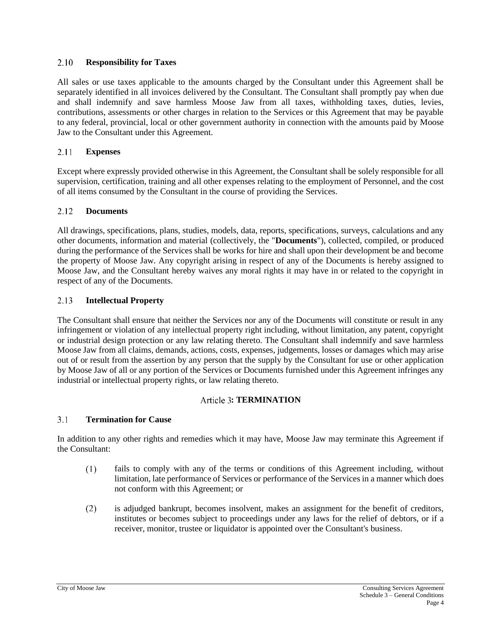### 2.10 **Responsibility for Taxes**

All sales or use taxes applicable to the amounts charged by the Consultant under this Agreement shall be separately identified in all invoices delivered by the Consultant. The Consultant shall promptly pay when due and shall indemnify and save harmless Moose Jaw from all taxes, withholding taxes, duties, levies, contributions, assessments or other charges in relation to the Services or this Agreement that may be payable to any federal, provincial, local or other government authority in connection with the amounts paid by Moose Jaw to the Consultant under this Agreement.

### 2.11 **Expenses**

Except where expressly provided otherwise in this Agreement, the Consultant shall be solely responsible for all supervision, certification, training and all other expenses relating to the employment of Personnel, and the cost of all items consumed by the Consultant in the course of providing the Services.

### <span id="page-23-0"></span>2.12 **Documents**

All drawings, specifications, plans, studies, models, data, reports, specifications, surveys, calculations and any other documents, information and material (collectively, the "**Documents**"), collected, compiled, or produced during the performance of the Services shall be works for hire and shall upon their development be and become the property of Moose Jaw. Any copyright arising in respect of any of the Documents is hereby assigned to Moose Jaw, and the Consultant hereby waives any moral rights it may have in or related to the copyright in respect of any of the Documents.

#### 2.13 **Intellectual Property**

The Consultant shall ensure that neither the Services nor any of the Documents will constitute or result in any infringement or violation of any intellectual property right including, without limitation, any patent, copyright or industrial design protection or any law relating thereto. The Consultant shall indemnify and save harmless Moose Jaw from all claims, demands, actions, costs, expenses, judgements, losses or damages which may arise out of or result from the assertion by any person that the supply by the Consultant for use or other application by Moose Jaw of all or any portion of the Services or Documents furnished under this Agreement infringes any industrial or intellectual property rights, or law relating thereto.

### Article 3: **TERMINATION**

### $3.1$ **Termination for Cause**

In addition to any other rights and remedies which it may have, Moose Jaw may terminate this Agreement if the Consultant:

- $(1)$ fails to comply with any of the terms or conditions of this Agreement including, without limitation, late performance of Services or performance of the Services in a manner which does not conform with this Agreement; or
- $(2)$ is adjudged bankrupt, becomes insolvent, makes an assignment for the benefit of creditors, institutes or becomes subject to proceedings under any laws for the relief of debtors, or if a receiver, monitor, trustee or liquidator is appointed over the Consultant's business.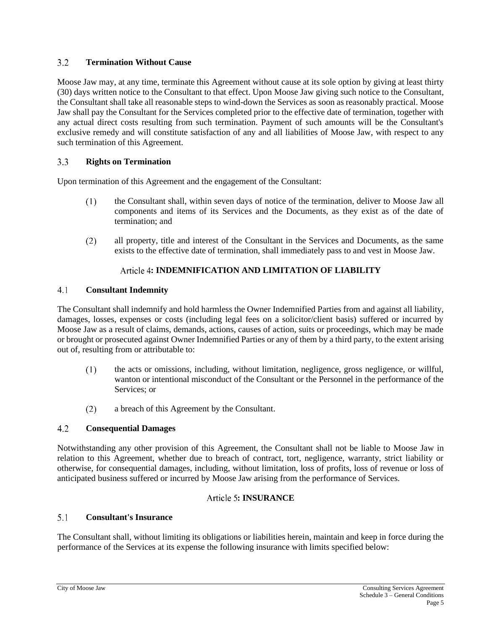### $3.2$ **Termination Without Cause**

Moose Jaw may, at any time, terminate this Agreement without cause at its sole option by giving at least thirty (30) days written notice to the Consultant to that effect. Upon Moose Jaw giving such notice to the Consultant, the Consultant shall take all reasonable steps to wind-down the Services as soon as reasonably practical. Moose Jaw shall pay the Consultant for the Services completed prior to the effective date of termination, together with any actual direct costs resulting from such termination. Payment of such amounts will be the Consultant's exclusive remedy and will constitute satisfaction of any and all liabilities of Moose Jaw, with respect to any such termination of this Agreement.

### $3.3$ **Rights on Termination**

Upon termination of this Agreement and the engagement of the Consultant:

- $(1)$ the Consultant shall, within seven days of notice of the termination, deliver to Moose Jaw all components and items of its Services and the Documents, as they exist as of the date of termination; and
- $(2)$ all property, title and interest of the Consultant in the Services and Documents, as the same exists to the effective date of termination, shall immediately pass to and vest in Moose Jaw.

# **: INDEMNIFICATION AND LIMITATION OF LIABILITY**

### $4.1$ **Consultant Indemnity**

The Consultant shall indemnify and hold harmless the Owner Indemnified Parties from and against all liability, damages, losses, expenses or costs (including legal fees on a solicitor/client basis) suffered or incurred by Moose Jaw as a result of claims, demands, actions, causes of action, suits or proceedings, which may be made or brought or prosecuted against Owner Indemnified Parties or any of them by a third party, to the extent arising out of, resulting from or attributable to:

- $(1)$ the acts or omissions, including, without limitation, negligence, gross negligence, or willful, wanton or intentional misconduct of the Consultant or the Personnel in the performance of the Services; or
- a breach of this Agreement by the Consultant.  $(2)$

### $4.2$ **Consequential Damages**

Notwithstanding any other provision of this Agreement, the Consultant shall not be liable to Moose Jaw in relation to this Agreement, whether due to breach of contract, tort, negligence, warranty, strict liability or otherwise, for consequential damages, including, without limitation, loss of profits, loss of revenue or loss of anticipated business suffered or incurred by Moose Jaw arising from the performance of Services.

# **: INSURANCE**

### <span id="page-24-0"></span> $5.1$ **Consultant's Insurance**

The Consultant shall, without limiting its obligations or liabilities herein, maintain and keep in force during the performance of the Services at its expense the following insurance with limits specified below: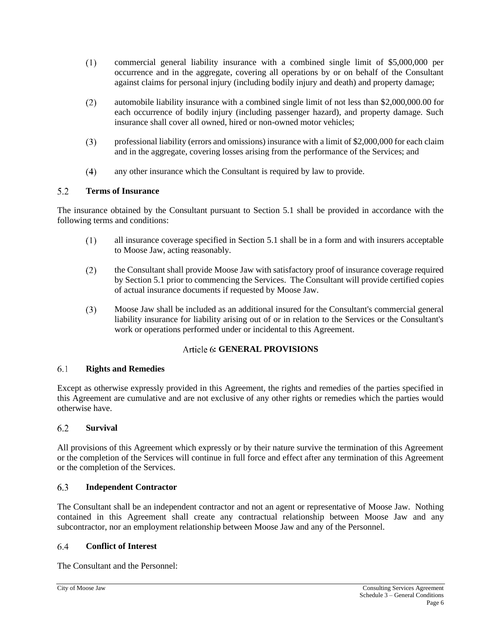- commercial general liability insurance with a combined single limit of \$5,000,000 per  $(1)$ occurrence and in the aggregate, covering all operations by or on behalf of the Consultant against claims for personal injury (including bodily injury and death) and property damage;
- $(2)$ automobile liability insurance with a combined single limit of not less than \$2,000,000.00 for each occurrence of bodily injury (including passenger hazard), and property damage. Such insurance shall cover all owned, hired or non-owned motor vehicles;
- $(3)$ professional liability (errors and omissions) insurance with a limit of \$2,000,000 for each claim and in the aggregate, covering losses arising from the performance of the Services; and
- $(4)$ any other insurance which the Consultant is required by law to provide.

### $5.2$ **Terms of Insurance**

The insurance obtained by the Consultant pursuant to Section [5.1](#page-24-0) shall be provided in accordance with the following terms and conditions:

- all insurance coverage specified in Section [5.1](#page-24-0) shall be in a form and with insurers acceptable  $(1)$ to Moose Jaw, acting reasonably.
- $(2)$ the Consultant shall provide Moose Jaw with satisfactory proof of insurance coverage required by Section [5.1](#page-24-0) prior to commencing the Services. The Consultant will provide certified copies of actual insurance documents if requested by Moose Jaw.
- $(3)$ Moose Jaw shall be included as an additional insured for the Consultant's commercial general liability insurance for liability arising out of or in relation to the Services or the Consultant's work or operations performed under or incidental to this Agreement.

# **: GENERAL PROVISIONS**

### $6.1$ **Rights and Remedies**

Except as otherwise expressly provided in this Agreement, the rights and remedies of the parties specified in this Agreement are cumulative and are not exclusive of any other rights or remedies which the parties would otherwise have.

### 6.2 **Survival**

All provisions of this Agreement which expressly or by their nature survive the termination of this Agreement or the completion of the Services will continue in full force and effect after any termination of this Agreement or the completion of the Services.

### 6.3 **Independent Contractor**

The Consultant shall be an independent contractor and not an agent or representative of Moose Jaw. Nothing contained in this Agreement shall create any contractual relationship between Moose Jaw and any subcontractor, nor an employment relationship between Moose Jaw and any of the Personnel.

### 6.4 **Conflict of Interest**

The Consultant and the Personnel: